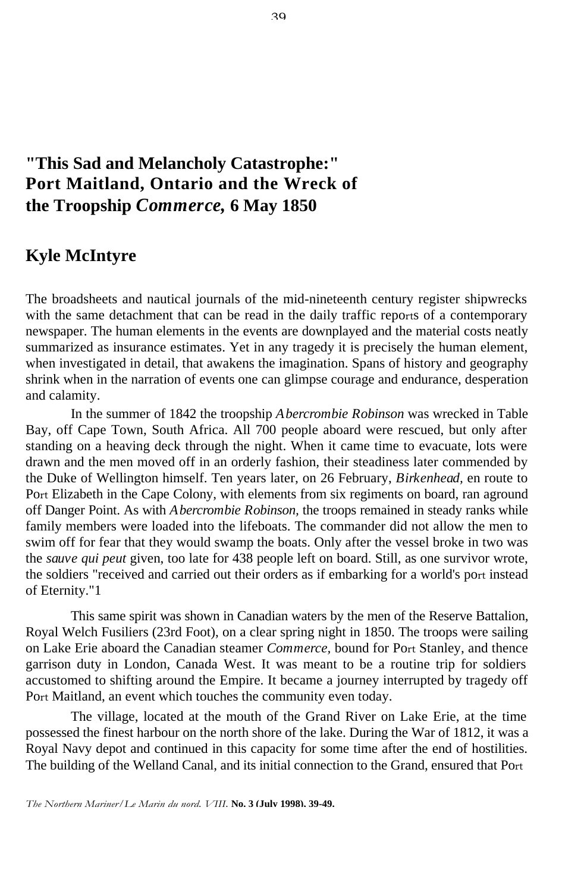## **"This Sad and Melancholy Catastrophe:" Port Maitland, Ontario and the Wreck of the Troopship** *Commerce,* **6 May 1850**

## **Kyle McIntyre**

The broadsheets and nautical journals of the mid-nineteenth century register shipwrecks with the same detachment that can be read in the daily traffic reports of a contemporary newspaper. The human elements in the events are downplayed and the material costs neatly summarized as insurance estimates. Yet in any tragedy it is precisely the human element, when investigated in detail, that awakens the imagination. Spans of history and geography shrink when in the narration of events one can glimpse courage and endurance, desperation and calamity.

In the summer of 1842 the troopship *Abercrombie Robinson* was wrecked in Table Bay, off Cape Town, South Africa. All 700 people aboard were rescued, but only after standing on a heaving deck through the night. When it came time to evacuate, lots were drawn and the men moved off in an orderly fashion, their steadiness later commended by the Duke of Wellington himself. Ten years later, on 26 February, *Birkenhead,* en route to Port Elizabeth in the Cape Colony, with elements from six regiments on board, ran aground off Danger Point. As with *Abercrombie Robinson,* the troops remained in steady ranks while family members were loaded into the lifeboats. The commander did not allow the men to swim off for fear that they would swamp the boats. Only after the vessel broke in two was the *sauve qui peut* given, too late for 438 people left on board. Still, as one survivor wrote, the soldiers "received and carried out their orders as if embarking for a world's port instead of Eternity."1

This same spirit was shown in Canadian waters by the men of the Reserve Battalion, Royal Welch Fusiliers (23rd Foot), on a clear spring night in 1850. The troops were sailing on Lake Erie aboard the Canadian steamer *Commerce,* bound for Port Stanley, and thence garrison duty in London, Canada West. It was meant to be a routine trip for soldiers accustomed to shifting around the Empire. It became a journey interrupted by tragedy off Port Maitland, an event which touches the community even today.

The village, located at the mouth of the Grand River on Lake Erie, at the time possessed the finest harbour on the north shore of the lake. During the War of 1812, it was a Royal Navy depot and continued in this capacity for some time after the end of hostilities. The building of the Welland Canal, and its initial connection to the Grand, ensured that Port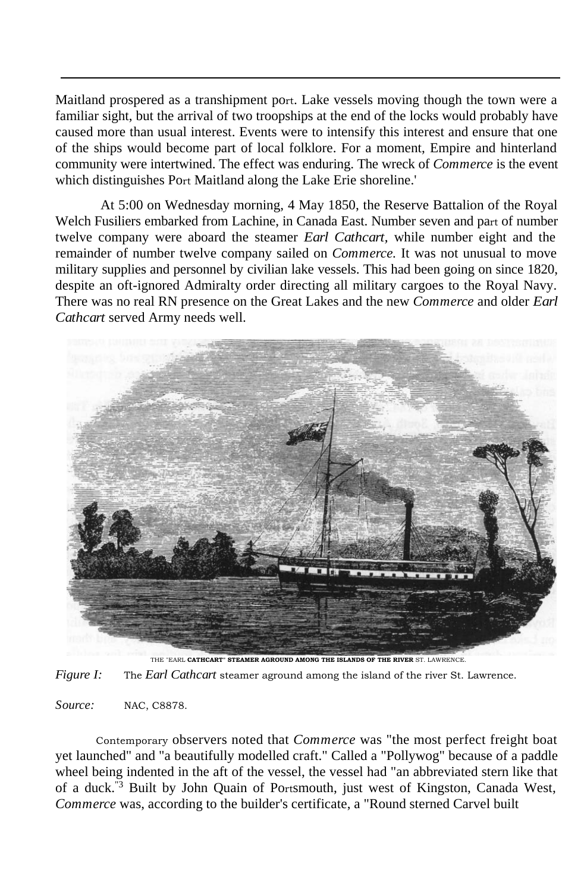Maitland prospered as a transhipment port. Lake vessels moving though the town were a familiar sight, but the arrival of two troopships at the end of the locks would probably have caused more than usual interest. Events were to intensify this interest and ensure that one of the ships would become part of local folklore. For a moment, Empire and hinterland community were intertwined. The effect was enduring. The wreck of *Commerce* is the event which distinguishes Port Maitland along the Lake Erie shoreline.'

At 5:00 on Wednesday morning, 4 May 1850, the Reserve Battalion of the Royal Welch Fusiliers embarked from Lachine, in Canada East. Number seven and part of number twelve company were aboard the steamer *Earl Cathcart,* while number eight and the remainder of number twelve company sailed on *Commerce.* It was not unusual to move military supplies and personnel by civilian lake vessels. This had been going on since 1820, despite an oft-ignored Admiralty order directing all military cargoes to the Royal Navy. There was no real RN presence on the Great Lakes and the new *Commerce* and older *Earl Cathcart* served Army needs well.



THE "EARL **CATHCART" STEAMER AGROUND AMONG THE ISLANDS OF THE RIVER** ST. LAWRENCE.

*Figure I:* The *Earl Cathcart* steamer aground among the island of the river St. Lawrence.

*Source:* NAC, C8878.

Contemporary observers noted that *Commerce* was "the most perfect freight boat yet launched" and "a beautifully modelled craft." Called a "Pollywog" because of a paddle wheel being indented in the aft of the vessel, the vessel had "an abbreviated stern like that of a duck."3 Built by John Quain of Portsmouth, just west of Kingston, Canada West, *Commerce* was, according to the builder's certificate, a "Round sterned Carvel built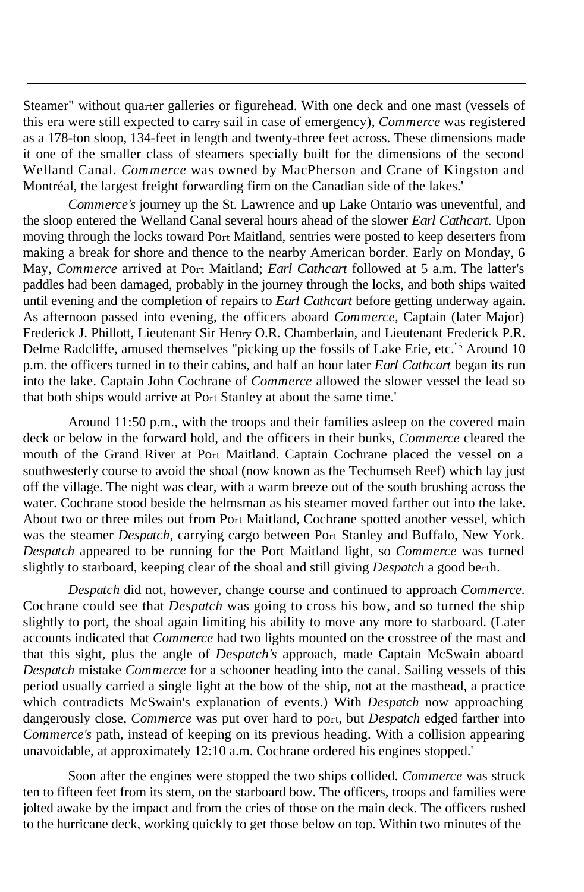Steamer" without quarter galleries or figurehead. With one deck and one mast (vessels of this era were still expected to carry sail in case of emergency), *Commerce* was registered as a 178-ton sloop, 134-feet in length and twenty-three feet across. These dimensions made it one of the smaller class of steamers specially built for the dimensions of the second Welland Canal. *Commerce* was owned by MacPherson and Crane of Kingston and Montréal, the largest freight forwarding firm on the Canadian side of the lakes.'

*Commerce's* journey up the St. Lawrence and up Lake Ontario was uneventful, and the sloop entered the Welland Canal several hours ahead of the slower *Earl Cathcart.* Upon moving through the locks toward Port Maitland, sentries were posted to keep deserters from making a break for shore and thence to the nearby American border. Early on Monday, 6 May, *Commerce* arrived at Port Maitland; *Earl Cathcart* followed at 5 a.m. The latter's paddles had been damaged, probably in the journey through the locks, and both ships waited until evening and the completion of repairs to *Earl Cathcart* before getting underway again. As afternoon passed into evening, the officers aboard *Commerce,* Captain (later Major) Frederick J. Phillott, Lieutenant Sir Henry O.R. Chamberlain, and Lieutenant Frederick P.R. Delme Radcliffe, amused themselves "picking up the fossils of Lake Erie, etc."5 Around 10 p.m. the officers turned in to their cabins, and half an hour later *Earl Cathcart* began its run into the lake. Captain John Cochrane of *Commerce* allowed the slower vessel the lead so that both ships would arrive at Port Stanley at about the same time.'

Around 11:50 p.m., with the troops and their families asleep on the covered main deck or below in the forward hold, and the officers in their bunks, *Commerce* cleared the mouth of the Grand River at Port Maitland. Captain Cochrane placed the vessel on a southwesterly course to avoid the shoal (now known as the Techumseh Reef) which lay just off the village. The night was clear, with a warm breeze out of the south brushing across the water. Cochrane stood beside the helmsman as his steamer moved farther out into the lake. About two or three miles out from Port Maitland, Cochrane spotted another vessel, which was the steamer *Despatch,* carrying cargo between Port Stanley and Buffalo, New York. *Despatch* appeared to be running for the Port Maitland light, so *Commerce* was turned slightly to starboard, keeping clear of the shoal and still giving *Despatch* a good berth.

*Despatch* did not, however, change course and continued to approach *Commerce.*  Cochrane could see that *Despatch* was going to cross his bow, and so turned the ship slightly to port, the shoal again limiting his ability to move any more to starboard. (Later accounts indicated that *Commerce* had two lights mounted on the crosstree of the mast and that this sight, plus the angle of *Despatch's* approach, made Captain McSwain aboard *Despatch* mistake *Commerce* for a schooner heading into the canal. Sailing vessels of this period usually carried a single light at the bow of the ship, not at the masthead, a practice which contradicts McSwain's explanation of events.) With *Despatch* now approaching dangerously close, *Commerce* was put over hard to port, but *Despatch* edged farther into *Commerce's* path, instead of keeping on its previous heading. With a collision appearing unavoidable, at approximately 12:10 a.m. Cochrane ordered his engines stopped.'

Soon after the engines were stopped the two ships collided. *Commerce* was struck ten to fifteen feet from its stem, on the starboard bow. The officers, troops and families were jolted awake by the impact and from the cries of those on the main deck. The officers rushed to the hurricane deck, working quickly to get those below on top. Within two minutes of the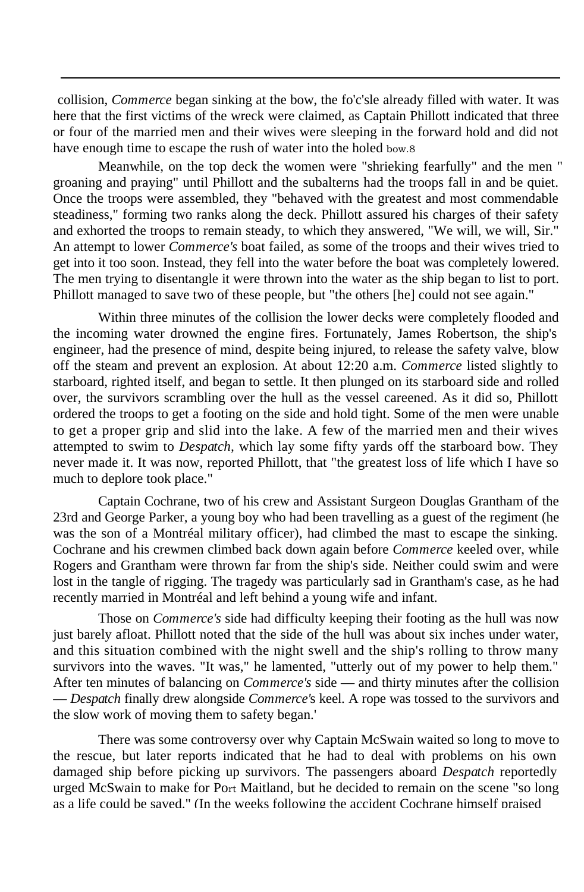collision, *Commerce* began sinking at the bow, the fo'c'sle already filled with water. It was here that the first victims of the wreck were claimed, as Captain Phillott indicated that three or four of the married men and their wives were sleeping in the forward hold and did not have enough time to escape the rush of water into the holed bow.8

Meanwhile, on the top deck the women were "shrieking fearfully" and the men " groaning and praying" until Phillott and the subalterns had the troops fall in and be quiet. Once the troops were assembled, they "behaved with the greatest and most commendable steadiness," forming two ranks along the deck. Phillott assured his charges of their safety and exhorted the troops to remain steady, to which they answered, "We will, we will, Sir." An attempt to lower *Commerce's* boat failed, as some of the troops and their wives tried to get into it too soon. Instead, they fell into the water before the boat was completely lowered. The men trying to disentangle it were thrown into the water as the ship began to list to port. Phillott managed to save two of these people, but "the others [he] could not see again."

Within three minutes of the collision the lower decks were completely flooded and the incoming water drowned the engine fires. Fortunately, James Robertson, the ship's engineer, had the presence of mind, despite being injured, to release the safety valve, blow off the steam and prevent an explosion. At about 12:20 a.m. *Commerce* listed slightly to starboard, righted itself, and began to settle. It then plunged on its starboard side and rolled over, the survivors scrambling over the hull as the vessel careened. As it did so, Phillott ordered the troops to get a footing on the side and hold tight. Some of the men were unable to get a proper grip and slid into the lake. A few of the married men and their wives attempted to swim to *Despatch,* which lay some fifty yards off the starboard bow. They never made it. It was now, reported Phillott, that "the greatest loss of life which I have so much to deplore took place."

Captain Cochrane, two of his crew and Assistant Surgeon Douglas Grantham of the 23rd and George Parker, a young boy who had been travelling as a guest of the regiment (he was the son of a Montréal military officer), had climbed the mast to escape the sinking. Cochrane and his crewmen climbed back down again before *Commerce* keeled over, while Rogers and Grantham were thrown far from the ship's side. Neither could swim and were lost in the tangle of rigging. The tragedy was particularly sad in Grantham's case, as he had recently married in Montréal and left behind a young wife and infant.

Those on *Commerce's* side had difficulty keeping their footing as the hull was now just barely afloat. Phillott noted that the side of the hull was about six inches under water, and this situation combined with the night swell and the ship's rolling to throw many survivors into the waves. "It was," he lamented, "utterly out of my power to help them." After ten minutes of balancing on *Commerce's* side — and thirty minutes after the collision — *Despatch* finally drew alongside *Commerce'*s keel. A rope was tossed to the survivors and the slow work of moving them to safety began.'

There was some controversy over why Captain McSwain waited so long to move to the rescue, but later reports indicated that he had to deal with problems on his own damaged ship before picking up survivors. The passengers aboard *Despatch* reportedly urged McSwain to make for Port Maitland, but he decided to remain on the scene "so long as a life could be saved." (In the weeks following the accident Cochrane himself praised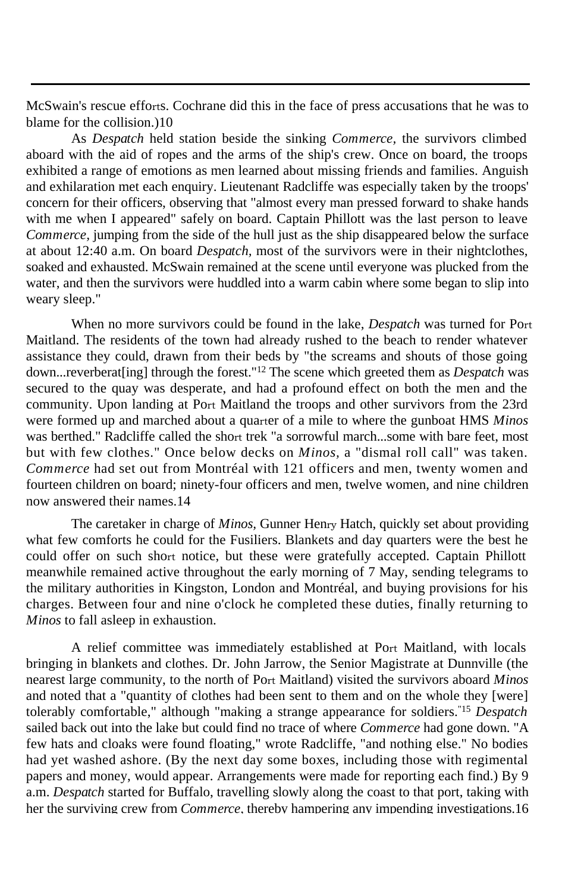McSwain's rescue efforts. Cochrane did this in the face of press accusations that he was to blame for the collision.)10

As *Despatch* held station beside the sinking *Commerce,* the survivors climbed aboard with the aid of ropes and the arms of the ship's crew. Once on board, the troops exhibited a range of emotions as men learned about missing friends and families. Anguish and exhilaration met each enquiry. Lieutenant Radcliffe was especially taken by the troops' concern for their officers, observing that "almost every man pressed forward to shake hands with me when I appeared" safely on board. Captain Phillott was the last person to leave *Commerce*, jumping from the side of the hull just as the ship disappeared below the surface at about 12:40 a.m. On board *Despatch,* most of the survivors were in their nightclothes, soaked and exhausted. McSwain remained at the scene until everyone was plucked from the water, and then the survivors were huddled into a warm cabin where some began to slip into weary sleep."

When no more survivors could be found in the lake, *Despatch* was turned for Port Maitland. The residents of the town had already rushed to the beach to render whatever assistance they could, drawn from their beds by "the screams and shouts of those going down...reverberat[ing] through the forest."<sup>12</sup> The scene which greeted them as *Despatch* was secured to the quay was desperate, and had a profound effect on both the men and the community. Upon landing at Port Maitland the troops and other survivors from the 23rd were formed up and marched about a quarter of a mile to where the gunboat HMS *Minos*  was berthed." Radcliffe called the short trek "a sorrowful march...some with bare feet, most but with few clothes." Once below decks on *Minos,* a "dismal roll call" was taken. *Commerce* had set out from Montréal with 121 officers and men, twenty women and fourteen children on board; ninety-four officers and men, twelve women, and nine children now answered their names.14

The caretaker in charge of *Minos,* Gunner Henry Hatch, quickly set about providing what few comforts he could for the Fusiliers. Blankets and day quarters were the best he could offer on such short notice, but these were gratefully accepted. Captain Phillott meanwhile remained active throughout the early morning of 7 May, sending telegrams to the military authorities in Kingston, London and Montréal, and buying provisions for his charges. Between four and nine o'clock he completed these duties, finally returning to *Minos* to fall asleep in exhaustion.

A relief committee was immediately established at Port Maitland, with locals bringing in blankets and clothes. Dr. John Jarrow, the Senior Magistrate at Dunnville (the nearest large community, to the north of Port Maitland) visited the survivors aboard *Minos*  and noted that a "quantity of clothes had been sent to them and on the whole they [were] tolerably comfortable," although "making a strange appearance for soldiers."15 *Despatch*  sailed back out into the lake but could find no trace of where *Commerce* had gone down. "A few hats and cloaks were found floating," wrote Radcliffe, "and nothing else." No bodies had yet washed ashore. (By the next day some boxes, including those with regimental papers and money, would appear. Arrangements were made for reporting each find.) By 9 a.m. *Despatch* started for Buffalo, travelling slowly along the coast to that port, taking with her the surviving crew from *Commerce,* thereby hampering any impending investigations.16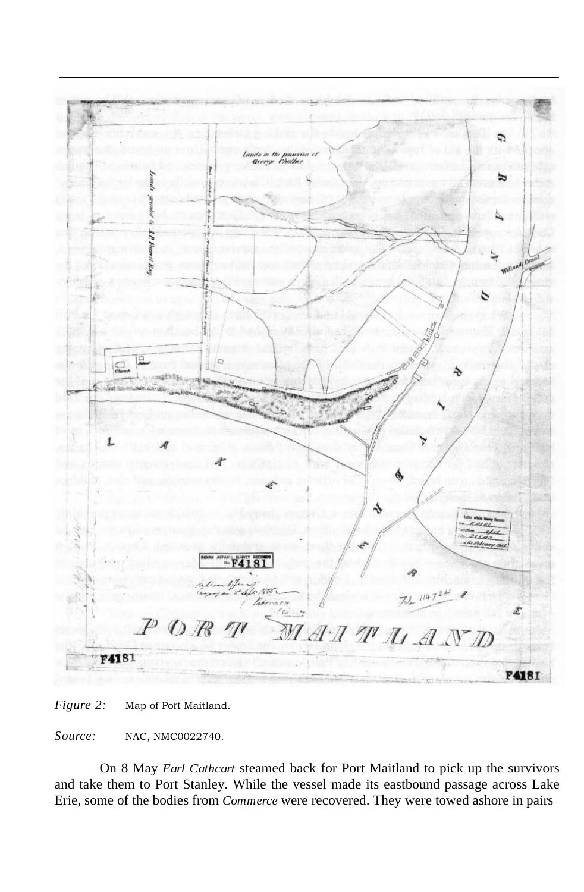

*Figure 2:* Map of Port Maitland.

*Source:* NAC, NMC0022740.

On 8 May *Earl Cathcart* steamed back for Port Maitland to pick up the survivors and take them to Port Stanley. While the vessel made its eastbound passage across Lake Erie, some of the bodies from *Commerce* were recovered. They were towed ashore in pairs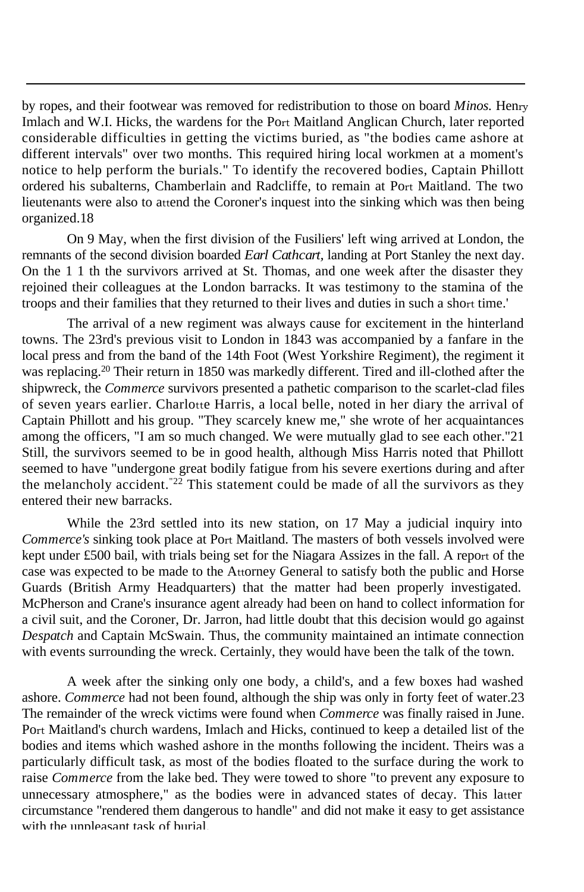by ropes, and their footwear was removed for redistribution to those on board *Minos.* Henry Imlach and W.I. Hicks, the wardens for the Port Maitland Anglican Church, later reported considerable difficulties in getting the victims buried, as "the bodies came ashore at different intervals" over two months. This required hiring local workmen at a moment's notice to help perform the burials." To identify the recovered bodies, Captain Phillott ordered his subalterns, Chamberlain and Radcliffe, to remain at Port Maitland. The two lieutenants were also to attend the Coroner's inquest into the sinking which was then being organized.18

On 9 May, when the first division of the Fusiliers' left wing arrived at London, the remnants of the second division boarded *Earl Cathcart,* landing at Port Stanley the next day. On the 1 1 th the survivors arrived at St. Thomas, and one week after the disaster they rejoined their colleagues at the London barracks. It was testimony to the stamina of the troops and their families that they returned to their lives and duties in such a short time.'

The arrival of a new regiment was always cause for excitement in the hinterland towns. The 23rd's previous visit to London in 1843 was accompanied by a fanfare in the local press and from the band of the 14th Foot (West Yorkshire Regiment), the regiment it was replacing.<sup>20</sup> Their return in 1850 was markedly different. Tired and ill-clothed after the shipwreck, the *Commerce* survivors presented a pathetic comparison to the scarlet-clad files of seven years earlier. Charlotte Harris, a local belle, noted in her diary the arrival of Captain Phillott and his group. "They scarcely knew me," she wrote of her acquaintances among the officers, "I am so much changed. We were mutually glad to see each other."21 Still, the survivors seemed to be in good health, although Miss Harris noted that Phillott seemed to have "undergone great bodily fatigue from his severe exertions during and after the melancholy accident.<sup>"22</sup> This statement could be made of all the survivors as they entered their new barracks.

While the 23rd settled into its new station, on 17 May a judicial inquiry into *Commerce's* sinking took place at Port Maitland. The masters of both vessels involved were kept under £500 bail, with trials being set for the Niagara Assizes in the fall. A report of the case was expected to be made to the Attorney General to satisfy both the public and Horse Guards (British Army Headquarters) that the matter had been properly investigated. McPherson and Crane's insurance agent already had been on hand to collect information for a civil suit, and the Coroner, Dr. Jarron, had little doubt that this decision would go against *Despatch* and Captain McSwain. Thus, the community maintained an intimate connection with events surrounding the wreck. Certainly, they would have been the talk of the town.

A week after the sinking only one body, a child's, and a few boxes had washed ashore. *Commerce* had not been found, although the ship was only in forty feet of water.23 The remainder of the wreck victims were found when *Commerce* was finally raised in June. Port Maitland's church wardens, Imlach and Hicks, continued to keep a detailed list of the bodies and items which washed ashore in the months following the incident. Theirs was a particularly difficult task, as most of the bodies floated to the surface during the work to raise *Commerce* from the lake bed. They were towed to shore "to prevent any exposure to unnecessary atmosphere," as the bodies were in advanced states of decay. This latter circumstance "rendered them dangerous to handle" and did not make it easy to get assistance with the unpleasant task of burial.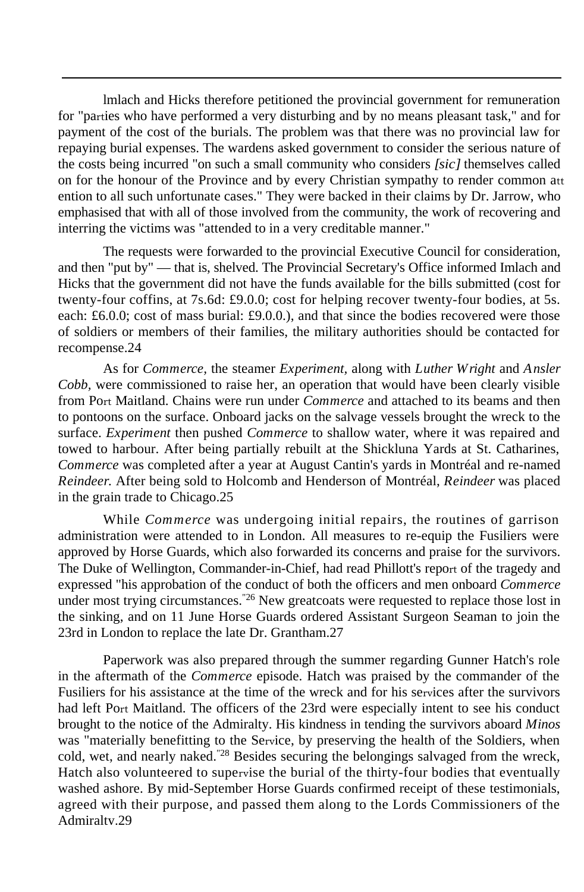lmlach and Hicks therefore petitioned the provincial government for remuneration for "parties who have performed a very disturbing and by no means pleasant task," and for payment of the cost of the burials. The problem was that there was no provincial law for repaying burial expenses. The wardens asked government to consider the serious nature of the costs being incurred "on such a small community who considers *[sic]* themselves called on for the honour of the Province and by every Christian sympathy to render common att ention to all such unfortunate cases." They were backed in their claims by Dr. Jarrow, who emphasised that with all of those involved from the community, the work of recovering and interring the victims was "attended to in a very creditable manner."

The requests were forwarded to the provincial Executive Council for consideration, and then "put by" — that is, shelved. The Provincial Secretary's Office informed Imlach and Hicks that the government did not have the funds available for the bills submitted (cost for twenty-four coffins, at 7s.6d: £9.0.0; cost for helping recover twenty-four bodies, at 5s. each: £6.0.0; cost of mass burial: £9.0.0.), and that since the bodies recovered were those of soldiers or members of their families, the military authorities should be contacted for recompense.24

As for *Commerce,* the steamer *Experiment,* along with *Luther Wright* and *Ansler Cobb,* were commissioned to raise her, an operation that would have been clearly visible from Port Maitland. Chains were run under *Commerce* and attached to its beams and then to pontoons on the surface. Onboard jacks on the salvage vessels brought the wreck to the surface. *Experiment* then pushed *Commerce* to shallow water, where it was repaired and towed to harbour. After being partially rebuilt at the Shickluna Yards at St. Catharines, *Commerce* was completed after a year at August Cantin's yards in Montréal and re-named *Reindeer.* After being sold to Holcomb and Henderson of Montréal, *Reindeer* was placed in the grain trade to Chicago.25

While *Commerce* was undergoing initial repairs, the routines of garrison administration were attended to in London. All measures to re-equip the Fusiliers were approved by Horse Guards, which also forwarded its concerns and praise for the survivors. The Duke of Wellington, Commander-in-Chief, had read Phillott's report of the tragedy and expressed "his approbation of the conduct of both the officers and men onboard *Commerce*  under most trying circumstances.<sup>"26</sup> New greatcoats were requested to replace those lost in the sinking, and on 11 June Horse Guards ordered Assistant Surgeon Seaman to join the 23rd in London to replace the late Dr. Grantham.27

Paperwork was also prepared through the summer regarding Gunner Hatch's role in the aftermath of the *Commerce* episode. Hatch was praised by the commander of the Fusiliers for his assistance at the time of the wreck and for his services after the survivors had left Port Maitland. The officers of the 23rd were especially intent to see his conduct brought to the notice of the Admiralty. His kindness in tending the survivors aboard *Minos*  was "materially benefitting to the Service, by preserving the health of the Soldiers, when cold, wet, and nearly naked."28 Besides securing the belongings salvaged from the wreck, Hatch also volunteered to supervise the burial of the thirty-four bodies that eventually washed ashore. By mid-September Horse Guards confirmed receipt of these testimonials, agreed with their purpose, and passed them along to the Lords Commissioners of the Admiralty.29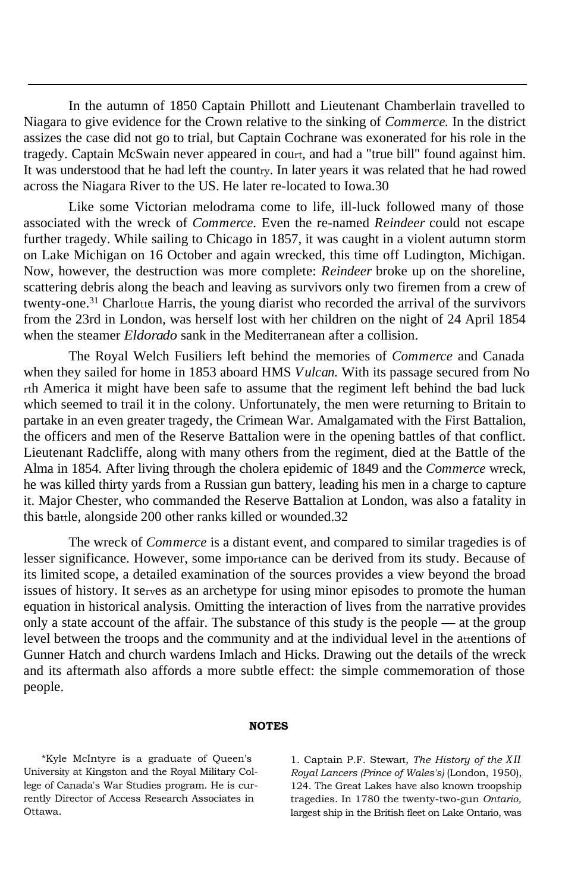In the autumn of 1850 Captain Phillott and Lieutenant Chamberlain travelled to Niagara to give evidence for the Crown relative to the sinking of *Commerce.* In the district assizes the case did not go to trial, but Captain Cochrane was exonerated for his role in the tragedy. Captain McSwain never appeared in court, and had a "true bill" found against him. It was understood that he had left the country. In later years it was related that he had rowed across the Niagara River to the US. He later re-located to Iowa.30

Like some Victorian melodrama come to life, ill-luck followed many of those associated with the wreck of *Commerce.* Even the re-named *Reindeer* could not escape further tragedy. While sailing to Chicago in 1857, it was caught in a violent autumn storm on Lake Michigan on 16 October and again wrecked, this time off Ludington, Michigan. Now, however, the destruction was more complete: *Reindeer* broke up on the shoreline, scattering debris along the beach and leaving as survivors only two firemen from a crew of twenty-one.<sup>31</sup> Charlotte Harris, the young diarist who recorded the arrival of the survivors from the 23rd in London, was herself lost with her children on the night of 24 April 1854 when the steamer *Eldorado* sank in the Mediterranean after a collision.

The Royal Welch Fusiliers left behind the memories of *Commerce* and Canada when they sailed for home in 1853 aboard HMS *Vulcan.* With its passage secured from No rth America it might have been safe to assume that the regiment left behind the bad luck which seemed to trail it in the colony. Unfortunately, the men were returning to Britain to partake in an even greater tragedy, the Crimean War. Amalgamated with the First Battalion, the officers and men of the Reserve Battalion were in the opening battles of that conflict. Lieutenant Radcliffe, along with many others from the regiment, died at the Battle of the Alma in 1854. After living through the cholera epidemic of 1849 and the *Commerce* wreck, he was killed thirty yards from a Russian gun battery, leading his men in a charge to capture it. Major Chester, who commanded the Reserve Battalion at London, was also a fatality in this battle, alongside 200 other ranks killed or wounded.32

The wreck of *Commerce* is a distant event, and compared to similar tragedies is of lesser significance. However, some importance can be derived from its study. Because of its limited scope, a detailed examination of the sources provides a view beyond the broad issues of history. It serves as an archetype for using minor episodes to promote the human equation in historical analysis. Omitting the interaction of lives from the narrative provides only a state account of the affair. The substance of this study is the people — at the group level between the troops and the community and at the individual level in the attentions of Gunner Hatch and church wardens Imlach and Hicks. Drawing out the details of the wreck and its aftermath also affords a more subtle effect: the simple commemoration of those people.

## **NOTES**

\*Kyle McIntyre is a graduate of Queen's University at Kingston and the Royal Military College of Canada's War Studies program. He is currently Director of Access Research Associates in Ottawa.

1. Captain P.F. Stewart, *The History of the XII Royal Lancers (Prince of Wales's)* (London, 1950), 124. The Great Lakes have also known troopship tragedies. In 1780 the twenty-two-gun *Ontario,*  largest ship in the British fleet on Lake Ontario, was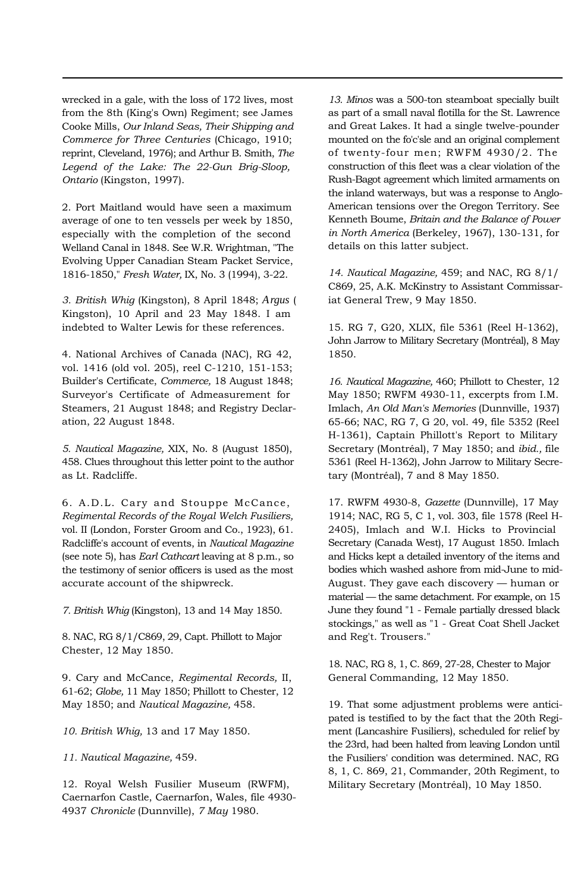wrecked in a gale, with the loss of 172 lives, most from the 8th (King's Own) Regiment; see James Cooke Mills, *Our Inland Seas, Their Shipping and Commerce for Three Centuries* (Chicago, 1910; reprint, Cleveland, 1976); and Arthur B. Smith, *The Legend of the Lake: The 22-Gun Brig-Sloop, Ontario* (Kingston, 1997).

2. Port Maitland would have seen a maximum average of one to ten vessels per week by 1850, especially with the completion of the second Welland Canal in 1848. See W.R. Wrightman, "The Evolving Upper Canadian Steam Packet Service, 1816-1850," *Fresh Water,* IX, No. 3 (1994), 3-22.

*3. British Whig* (Kingston), 8 April 1848; *Argus* ( Kingston), 10 April and 23 May 1848. I am indebted to Walter Lewis for these references.

4. National Archives of Canada (NAC), RG 42, vol. 1416 (old vol. 205), reel C-1210, 151-153; Builder's Certificate, *Commerce,* 18 August 1848; Surveyor's Certificate of Admeasurement for Steamers, 21 August 1848; and Registry Declaration, 22 August 1848.

*5. Nautical Magazine,* XIX, No. 8 (August 1850), 458. Clues throughout this letter point to the author as Lt. Radcliffe.

6. A.D.L. Cary and Stouppe McCance, *Regimental Records of the Royal Welch Fusiliers,*  vol. II (London, Forster Groom and Co., 1923), 61. Radcliffe's account of events, in *Nautical Magazine*  (see note 5), has *Earl Cathcart* leaving at 8 p.m., so the testimony of senior officers is used as the most accurate account of the shipwreck.

*7. British Whig* (Kingston), 13 and 14 May 1850.

8. NAC, RG 8/1/C869, 29, Capt. Phillott to Major Chester, 12 May 1850.

9. Cary and McCance, *Regimental Records,* II, 61-62; *Globe,* 11 May 1850; Phillott to Chester, 12 May 1850; and *Nautical Magazine,* 458.

*10. British Whig,* 13 and 17 May 1850.

*11. Nautical Magazine,* 459.

12. Royal Welsh Fusilier Museum (RWFM), Caernarfon Castle, Caernarfon, Wales, file 4930- 4937 *Chronicle* (Dunnville), *7 May* 1980.

*13. Minos* was a 500-ton steamboat specially built as part of a small naval flotilla for the St. Lawrence and Great Lakes. It had a single twelve-pounder mounted on the fo'c'sle and an original complement of twenty-four men; RWFM 4930/2. The construction of this fleet was a clear violation of the Rush-Bagot agreement which limited armaments on the inland waterways, but was a response to Anglo-American tensions over the Oregon Territory. See Kenneth Boume, *Britain and the Balance of Power in North America* (Berkeley, 1967), 130-131, for details on this latter subject.

*14. Nautical Magazine,* 459; and NAC, RG 8/1/ C869, 25, A.K. McKinstry to Assistant Commissariat General Trew, 9 May 1850.

15. RG 7, G20, XLIX, file 5361 (Reel H-1362), John Jarrow to Military Secretary (Montréal), 8 May 1850.

*16. Nautical Magazine,* 460; Phillott to Chester, 12 May 1850; RWFM 4930-11, excerpts from I.M. Imlach, *An Old Man's Memories* (Dunnville, 1937) 65-66; NAC, RG 7, G 20, vol. 49, file 5352 (Reel H-1361), Captain Phillott's Report to Military Secretary (Montréal), 7 May 1850; and *ibid.,* file 5361 (Reel H-1362), John Jarrow to Military Secretary (Montréal), 7 and 8 May 1850.

17. RWFM 4930-8, *Gazette* (Dunnville), 17 May 1914; NAC, RG 5, C 1, vol. 303, file 1578 (Reel H-2405), Imlach and W.I. Hicks to Provincial Secretary (Canada West), 17 August 1850. Imlach and Hicks kept a detailed inventory of the items and bodies which washed ashore from mid-June to mid-August. They gave each discovery — human or material — the same detachment. For example, on 15 June they found "1 - Female partially dressed black stockings," as well as "1 - Great Coat Shell Jacket and Reg't. Trousers."

18. NAC, RG 8, 1, C. 869, 27-28, Chester to Major General Commanding, 12 May 1850.

19. That some adjustment problems were anticipated is testified to by the fact that the 20th Regiment (Lancashire Fusiliers), scheduled for relief by the 23rd, had been halted from leaving London until the Fusiliers' condition was determined. NAC, RG 8, 1, C. 869, 21, Commander, 20th Regiment, to Military Secretary (Montréal), 10 May 1850.